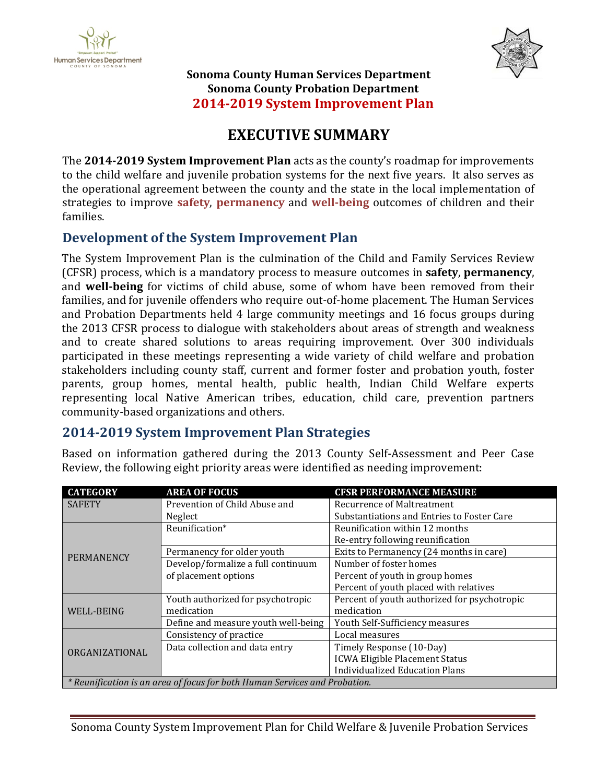



**Sonoma County Human Services Department Sonoma County Probation Department 2014-2019 System Improvement Plan**

# **EXECUTIVE SUMMARY**

The **2014-2019 System Improvement Plan** acts as the county's roadmap for improvements to the child welfare and juvenile probation systems for the next five years. It also serves as the operational agreement between the county and the state in the local implementation of strategies to improve **safety**, **permanency** and **well-being** outcomes of children and their families.

# **Development of the System Improvement Plan**

The System Improvement Plan is the culmination of the Child and Family Services Review (CFSR) process, which is a mandatory process to measure outcomes in **safety**, **permanency**, and **well-being** for victims of child abuse, some of whom have been removed from their families, and for juvenile offenders who require out-of-home placement. The Human Services and Probation Departments held 4 large community meetings and 16 focus groups during the 2013 CFSR process to dialogue with stakeholders about areas of strength and weakness and to create shared solutions to areas requiring improvement. Over 300 individuals participated in these meetings representing a wide variety of child welfare and probation stakeholders including county staff, current and former foster and probation youth, foster parents, group homes, mental health, public health, Indian Child Welfare experts representing local Native American tribes, education, child care, prevention partners community-based organizations and others.

# **2014-2019 System Improvement Plan Strategies**

Based on information gathered during the 2013 County Self-Assessment and Peer Case Review, the following eight priority areas were identified as needing improvement:

| <b>CATEGORY</b>                                                            | <b>AREA OF FOCUS</b>                | <b>CFSR PERFORMANCE MEASURE</b>                                                 |  |  |  |  |
|----------------------------------------------------------------------------|-------------------------------------|---------------------------------------------------------------------------------|--|--|--|--|
| <b>SAFETY</b>                                                              | Prevention of Child Abuse and       | <b>Recurrence of Maltreatment</b><br>Substantiations and Entries to Foster Care |  |  |  |  |
|                                                                            | Neglect                             |                                                                                 |  |  |  |  |
| <b>PERMANENCY</b>                                                          | Reunification*                      | Reunification within 12 months                                                  |  |  |  |  |
|                                                                            |                                     | Re-entry following reunification                                                |  |  |  |  |
|                                                                            | Permanency for older youth          | Exits to Permanency (24 months in care)                                         |  |  |  |  |
|                                                                            | Develop/formalize a full continuum  | Number of foster homes                                                          |  |  |  |  |
|                                                                            | of placement options                | Percent of youth in group homes                                                 |  |  |  |  |
|                                                                            |                                     | Percent of youth placed with relatives                                          |  |  |  |  |
| WELL-BEING                                                                 | Youth authorized for psychotropic   | Percent of youth authorized for psychotropic                                    |  |  |  |  |
|                                                                            | medication                          | medication                                                                      |  |  |  |  |
|                                                                            | Define and measure youth well-being | Youth Self-Sufficiency measures                                                 |  |  |  |  |
| ORGANIZATIONAL                                                             | Consistency of practice             | Local measures                                                                  |  |  |  |  |
|                                                                            | Data collection and data entry      | Timely Response (10-Day)                                                        |  |  |  |  |
|                                                                            |                                     | <b>ICWA Eligible Placement Status</b>                                           |  |  |  |  |
|                                                                            |                                     | <b>Individualized Education Plans</b>                                           |  |  |  |  |
| * Reunification is an area of focus for both Human Services and Probation. |                                     |                                                                                 |  |  |  |  |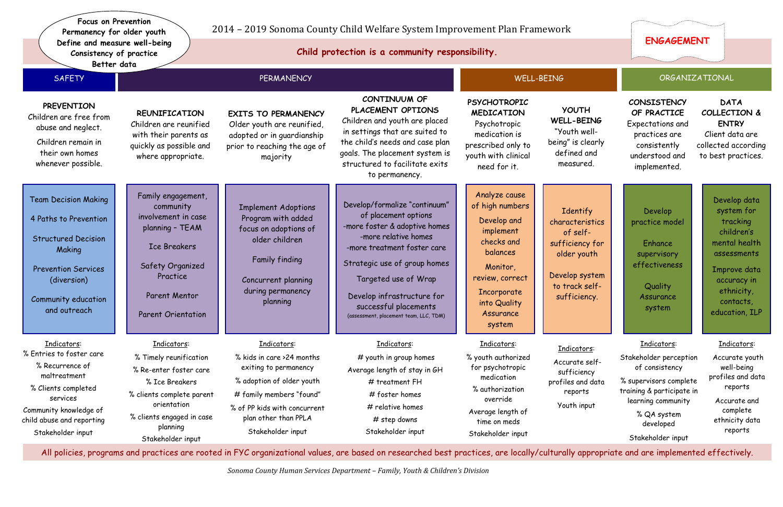# 2014 – 2019 Sonoma County Child Welfare System Improvement Plan Framework

*Sonoma County Human Services Department – Family, Youth & Children's Division*

| Better data                                                                                                                                                                                 |                                                                                                                                                                                                         |                                                                                                                                                                                                                                                                                                        |                                                                                                                                                                             |                                                                                                                               |                                                                                                                                                                                       |                                                                                                                                                                                   |
|---------------------------------------------------------------------------------------------------------------------------------------------------------------------------------------------|---------------------------------------------------------------------------------------------------------------------------------------------------------------------------------------------------------|--------------------------------------------------------------------------------------------------------------------------------------------------------------------------------------------------------------------------------------------------------------------------------------------------------|-----------------------------------------------------------------------------------------------------------------------------------------------------------------------------|-------------------------------------------------------------------------------------------------------------------------------|---------------------------------------------------------------------------------------------------------------------------------------------------------------------------------------|-----------------------------------------------------------------------------------------------------------------------------------------------------------------------------------|
| <b>SAFETY</b><br><b>PERMANENCY</b>                                                                                                                                                          |                                                                                                                                                                                                         | <b>WELL-BEING</b>                                                                                                                                                                                                                                                                                      |                                                                                                                                                                             | ORGANIZATIONAL                                                                                                                |                                                                                                                                                                                       |                                                                                                                                                                                   |
| <b>REUNIFICATION</b><br>Children are reunified<br>with their parents as<br>quickly as possible and<br>where appropriate.                                                                    | <b>EXITS TO PERMANENCY</b><br>Older youth are reunified,<br>adopted or in guardianship<br>prior to reaching the age of<br>majority                                                                      | CONTINUUM OF<br>PLACEMENT OPTIONS<br>Children and youth are placed<br>in settings that are suited to<br>the child's needs and case plan<br>goals. The placement system is<br>structured to facilitate exits<br>to permanency.                                                                          | <b>PSYCHOTROPIC</b><br><b>MEDICATION</b><br>Psychotropic<br>medication is<br>prescribed only to<br>youth with clinical<br>need for it.                                      | <b>YOUTH</b><br>WELL-BEING<br>"Youth well-<br>being" is clearly<br>defined and<br>measured.                                   | CONSISTENCY<br>OF PRACTICE<br>Expectations and<br>practices are<br>consistently<br>understood and<br>implemented.                                                                     | <b>DAT</b><br><b>COLLECT</b><br><b>ENTI</b><br>Client da<br>collected a<br>to best pr                                                                                             |
| Family engagement,<br>community<br>involvement in case<br>planning - TEAM<br><b>Ice Breakers</b><br>Safety Organized<br>Practice<br><b>Parent Mentor</b><br><b>Parent Orientation</b>       | <b>Implement Adoptions</b><br>Program with added<br>focus on adoptions of<br>older children<br>Family finding<br>Concurrent planning<br>during permanency<br>planning                                   | Develop/formalize "continuum"<br>of placement options<br>-more foster & adoptive homes<br>-more relative homes<br>-more treatment foster care<br>Strategic use of group homes<br>Targeted use of Wrap<br>Develop infrastructure for<br>successful placements<br>(assessment, placement team, LLC, TDM) | Analyze cause<br>of high numbers<br>Develop and<br>implement<br>checks and<br>balances<br>Monitor,<br>review, correct<br>Incorporate<br>into Quality<br>Assurance<br>system | Identify<br>characteristics<br>of self-<br>sufficiency for<br>older youth<br>Develop system<br>to track self-<br>sufficiency. | Develop<br>practice model<br>Enhance<br>supervisory<br>effectiveness<br><b>Quality</b><br>Assurance<br>system                                                                         | Develo<br>syste<br>trac<br>child<br>mental<br>assess<br><b>Improv</b><br>accur<br>ethn<br>cont<br>educat                                                                          |
| Indicators:<br>% Timely reunification<br>% Re-enter foster care<br>% Ice Breakers<br>% clients complete parent<br>orientation<br>% clients engaged in case<br>planning<br>Stakeholder input | Indicators:<br>% kids in care >24 months<br>exiting to permanency<br>% adoption of older youth<br># family members "found"<br>% of PP kids with concurrent<br>plan other than PPLA<br>Stakeholder input | Indicators:<br># youth in group homes<br>Average length of stay in GH<br># treatment FH<br>#foster homes<br># relative homes<br># step downs<br>Stakeholder input                                                                                                                                      | Indicators:<br>% youth authorized<br>for psychotropic<br>medication<br>% authorization<br>override<br>Average length of<br>time on meds<br>Stakeholder input                | Indicators:<br>Accurate self-<br>sufficiency<br>profiles and data<br>reports<br>Youth input                                   | Indicators:<br>Stakeholder perception<br>of consistency<br>% supervisors complete<br>training & participate in<br>learning community<br>% QA system<br>developed<br>Stakeholder input | Indic<br>Accura<br>well-<br>profiles<br>rep<br>Accure<br>com<br>ethnici<br>rep                                                                                                    |
|                                                                                                                                                                                             |                                                                                                                                                                                                         |                                                                                                                                                                                                                                                                                                        |                                                                                                                                                                             |                                                                                                                               |                                                                                                                                                                                       | All policies programs and practices are rooted in FYC organizational values are based on researched best practices are locally/culturally appropriate and are implemented effecti |

policies, programs and practices are rooted in FYC organizational values, are based on researched best practices, are locally/culturally appropriate and are implemented effectively.

# **CONSISTENCY OF PRACTICE**  Expectations and

**DATA COLLECTION & ENTRY**  Client data are collected according to best practices.

#### ic<u>ators</u>:

# Indicators:

 Accurate youth well-being profiles and data reports

Accurate and complete ethnicity data reports

Develop data system for tracking children's mental health assessments

Improve data accuracy in ethnicity, contacts, education, ILP

### Indicators:

**Child protection is a community responsibility.**

**Focus on Prevention Permanency for older youth Define and measure well-being Consistency of practice**

# **ENGAGEMENT**